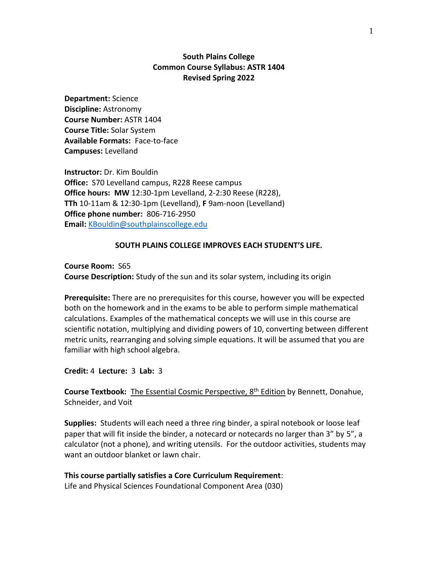# **South Plains College Common Course Syllabus: ASTR 1404 Revised Spring 2022**

**Department:** Science **Discipline:** Astronomy **Course Number:** ASTR 1404 **Course Title:** Solar System **Available Formats:** Face-to-face **Campuses:** Levelland

**Instructor:** Dr. Kim Bouldin **Office:** S70 Levelland campus, R228 Reese campus **Office hours: MW** 12:30-1pm Levelland, 2-2:30 Reese (R228), **TTh** 10-11am & 12:30-1pm (Levelland), **F** 9am-noon (Levelland) **Office phone number:** 806-716-2950 **Email:** [KBouldin@southplainscollege.edu](mailto:KBouldin@southplainscollege.edu)

## **SOUTH PLAINS COLLEGE IMPROVES EACH STUDENT'S LIFE.**

**Course Room:** S65 **Course Description:** Study of the sun and its solar system, including its origin

**Prerequisite:** There are no prerequisites for this course, however you will be expected both on the homework and in the exams to be able to perform simple mathematical calculations. Examples of the mathematical concepts we will use in this course are scientific notation, multiplying and dividing powers of 10, converting between different metric units, rearranging and solving simple equations. It will be assumed that you are familiar with high school algebra.

**Credit:** 4 **Lecture:** 3 **Lab:** 3

**Course Textbook:** The Essential Cosmic Perspective, 8<sup>th</sup> Edition by Bennett, Donahue, Schneider, and Voit

**Supplies:** Students will each need a three ring binder, a spiral notebook or loose leaf paper that will fit inside the binder, a notecard or notecards no larger than 3" by 5", a calculator (not a phone), and writing utensils. For the outdoor activities, students may want an outdoor blanket or lawn chair.

## **This course partially satisfies a Core Curriculum Requirement**:

Life and Physical Sciences Foundational Component Area (030)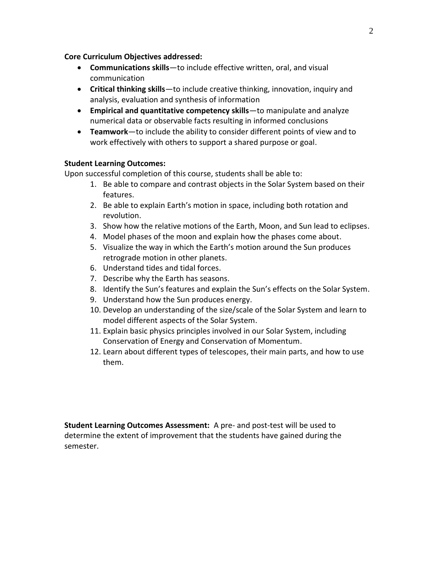# **Core Curriculum Objectives addressed:**

- **Communications skills**—to include effective written, oral, and visual communication
- **Critical thinking skills**—to include creative thinking, innovation, inquiry and analysis, evaluation and synthesis of information
- **Empirical and quantitative competency skills**—to manipulate and analyze numerical data or observable facts resulting in informed conclusions
- **Teamwork**—to include the ability to consider different points of view and to work effectively with others to support a shared purpose or goal.

# **Student Learning Outcomes:**

Upon successful completion of this course, students shall be able to:

- 1. Be able to compare and contrast objects in the Solar System based on their features.
- 2. Be able to explain Earth's motion in space, including both rotation and revolution.
- 3. Show how the relative motions of the Earth, Moon, and Sun lead to eclipses.
- 4. Model phases of the moon and explain how the phases come about.
- 5. Visualize the way in which the Earth's motion around the Sun produces retrograde motion in other planets.
- 6. Understand tides and tidal forces.
- 7. Describe why the Earth has seasons.
- 8. Identify the Sun's features and explain the Sun's effects on the Solar System.
- 9. Understand how the Sun produces energy.
- 10. Develop an understanding of the size/scale of the Solar System and learn to model different aspects of the Solar System.
- 11. Explain basic physics principles involved in our Solar System, including Conservation of Energy and Conservation of Momentum.
- 12. Learn about different types of telescopes, their main parts, and how to use them.

**Student Learning Outcomes Assessment:** A pre- and post-test will be used to determine the extent of improvement that the students have gained during the semester.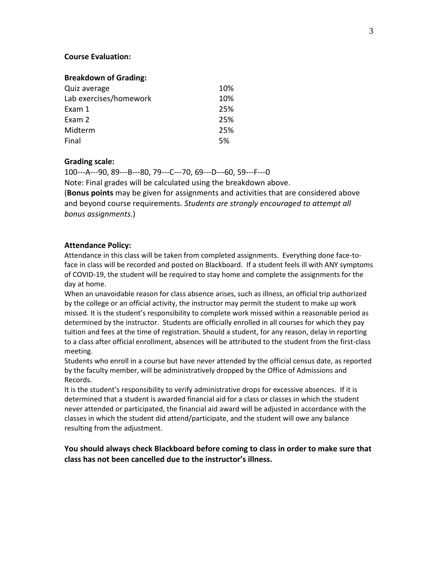## **Course Evaluation:**

## **Breakdown of Grading:**

| Quiz average           | 10% |
|------------------------|-----|
| Lab exercises/homework | 10% |
| Exam 1                 | 25% |
| Exam 2                 | 25% |
| Midterm                | 25% |
| Final                  | 5%  |

## **Grading scale:**

100---A---90, 89---B---80, 79---C---70, 69---D---60, 59---F---0 Note: Final grades will be calculated using the breakdown above. (**Bonus points** may be given for assignments and activities that are considered above and beyond course requirements. *Students are strongly encouraged to attempt all bonus assignments.*)

## **Attendance Policy:**

Attendance in this class will be taken from completed assignments. Everything done face-toface in class will be recorded and posted on Blackboard. If a student feels ill with ANY symptoms of COVID-19, the student will be required to stay home and complete the assignments for the day at home.

When an unavoidable reason for class absence arises, such as illness, an official trip authorized by the college or an official activity, the instructor may permit the student to make up work missed. It is the student's responsibility to complete work missed within a reasonable period as determined by the instructor. Students are officially enrolled in all courses for which they pay tuition and fees at the time of registration. Should a student, for any reason, delay in reporting to a class after official enrollment, absences will be attributed to the student from the first-class meeting.

Students who enroll in a course but have never attended by the official census date, as reported by the faculty member, will be administratively dropped by the Office of Admissions and Records.

It is the student's responsibility to verify administrative drops for excessive absences. If it is determined that a student is awarded financial aid for a class or classes in which the student never attended or participated, the financial aid award will be adjusted in accordance with the classes in which the student did attend/participate, and the student will owe any balance resulting from the adjustment.

**You should always check Blackboard before coming to class in order to make sure that class has not been cancelled due to the instructor's illness.**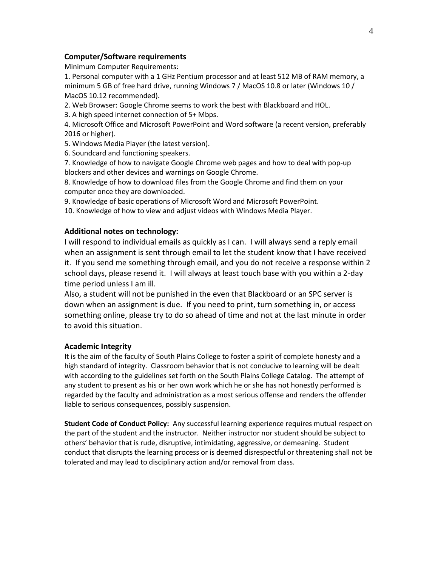## **Computer/Software requirements**

Minimum Computer Requirements:

1. Personal computer with a 1 GHz Pentium processor and at least 512 MB of RAM memory, a minimum 5 GB of free hard drive, running Windows 7 / MacOS 10.8 or later (Windows 10 / MacOS 10.12 recommended).

2. Web Browser: Google Chrome seems to work the best with Blackboard and HOL.

3. A high speed internet connection of 5+ Mbps.

4. Microsoft Office and Microsoft PowerPoint and Word software (a recent version, preferably 2016 or higher).

5. Windows Media Player (the latest version).

6. Soundcard and functioning speakers.

7. Knowledge of how to navigate Google Chrome web pages and how to deal with pop-up blockers and other devices and warnings on Google Chrome.

8. Knowledge of how to download files from the Google Chrome and find them on your computer once they are downloaded.

9. Knowledge of basic operations of Microsoft Word and Microsoft PowerPoint.

10. Knowledge of how to view and adjust videos with Windows Media Player.

## **Additional notes on technology:**

I will respond to individual emails as quickly as I can. I will always send a reply email when an assignment is sent through email to let the student know that I have received it. If you send me something through email, and you do not receive a response within 2 school days, please resend it. I will always at least touch base with you within a 2-day time period unless I am ill.

Also, a student will not be punished in the even that Blackboard or an SPC server is down when an assignment is due. If you need to print, turn something in, or access something online, please try to do so ahead of time and not at the last minute in order to avoid this situation.

## **Academic Integrity**

It is the aim of the faculty of South Plains College to foster a spirit of complete honesty and a high standard of integrity. Classroom behavior that is not conducive to learning will be dealt with according to the guidelines set forth on the South Plains College Catalog. The attempt of any student to present as his or her own work which he or she has not honestly performed is regarded by the faculty and administration as a most serious offense and renders the offender liable to serious consequences, possibly suspension.

**Student Code of Conduct Policy:** Any successful learning experience requires mutual respect on the part of the student and the instructor. Neither instructor nor student should be subject to others' behavior that is rude, disruptive, intimidating, aggressive, or demeaning. Student conduct that disrupts the learning process or is deemed disrespectful or threatening shall not be tolerated and may lead to disciplinary action and/or removal from class.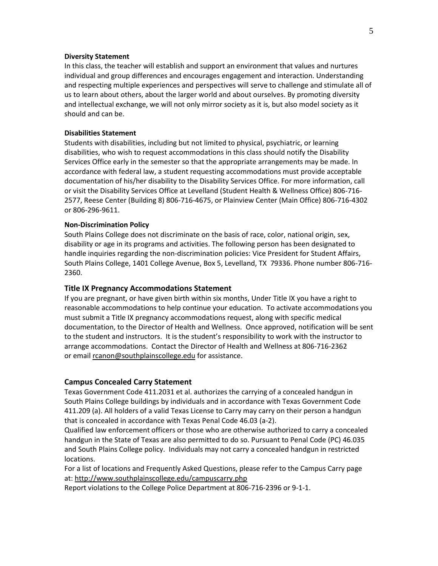#### **Diversity Statement**

In this class, the teacher will establish and support an environment that values and nurtures individual and group differences and encourages engagement and interaction. Understanding and respecting multiple experiences and perspectives will serve to challenge and stimulate all of us to learn about others, about the larger world and about ourselves. By promoting diversity and intellectual exchange, we will not only mirror society as it is, but also model society as it should and can be.

## **Disabilities Statement**

Students with disabilities, including but not limited to physical, psychiatric, or learning disabilities, who wish to request accommodations in this class should notify the Disability Services Office early in the semester so that the appropriate arrangements may be made. In accordance with federal law, a student requesting accommodations must provide acceptable documentation of his/her disability to the Disability Services Office. For more information, call or visit the Disability Services Office at Levelland (Student Health & Wellness Office) 806-716- 2577, Reese Center (Building 8) 806-716-4675, or Plainview Center (Main Office) 806-716-4302 or 806-296-9611.

#### **Non-Discrimination Policy**

South Plains College does not discriminate on the basis of race, color, national origin, sex, disability or age in its programs and activities. The following person has been designated to handle inquiries regarding the non-discrimination policies: Vice President for Student Affairs, South Plains College, 1401 College Avenue, Box 5, Levelland, TX 79336. Phone number 806-716- 2360.

#### **Title IX Pregnancy Accommodations Statement**

If you are pregnant, or have given birth within six months, Under Title IX you have a right to reasonable accommodations to help continue your education. To activate accommodations you must submit a Title IX pregnancy accommodations request, along with specific medical documentation, to the Director of Health and Wellness. Once approved, notification will be sent to the student and instructors. It is the student's responsibility to work with the instructor to arrange accommodations. Contact the Director of Health and Wellness at 806-716-2362 or email [rcanon@southplainscollege.edu](mailto:rcanon@southplainscollege.edu?subject=) for assistance.

## **Campus Concealed Carry Statement**

Texas Government Code 411.2031 et al. authorizes the carrying of a concealed handgun in South Plains College buildings by individuals and in accordance with Texas Government Code 411.209 (a). All holders of a valid Texas License to Carry may carry on their person a handgun that is concealed in accordance with Texas Penal Code 46.03 (a-2).

Qualified law enforcement officers or those who are otherwise authorized to carry a concealed handgun in the State of Texas are also permitted to do so. Pursuant to Penal Code (PC) 46.035 and South Plains College policy. Individuals may not carry a concealed handgun in restricted locations.

For a list of locations and Frequently Asked Questions, please refer to the Campus Carry page at: <http://www.southplainscollege.edu/campuscarry.php>

Report violations to the College Police Department at 806-716-2396 or 9-1-1.